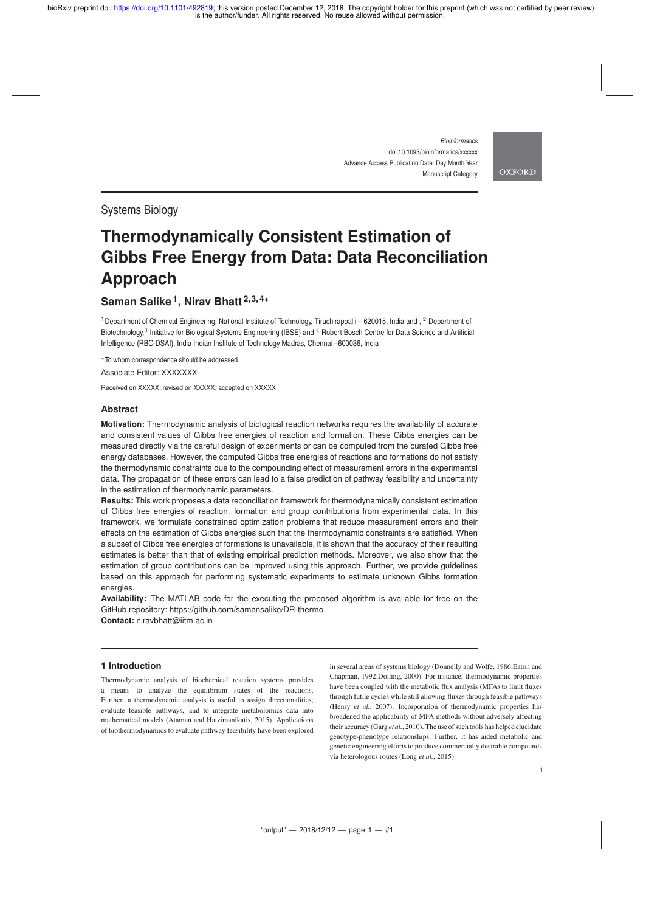> *Bioinformatics* doi.10.1093/bioinformatics/xxxxxx Advance Access Publication Date: Day Month Year Manuscript Category

**OXFORD** 

# Systems Biology

# **Thermodynamically Consistent Estimation of Gibbs Free Energy from Data: Data Reconciliation Approach**

# **Saman Salike <sup>1</sup> , Nirav Bhatt 2, 3, 4**<sup>∗</sup>

<sup>1</sup>Department of Chemical Engineering, National Institute of Technology, Tiruchirappalli – 620015, India and , <sup>2</sup> Department of Biotechnology,<sup>3</sup> Initiative for Biological Systems Engineering (IBSE) and <sup>4</sup> Robert Bosch Centre for Data Science and Artificial Intelligence (RBC-DSAI), India Indian Institute of Technology Madras, Chennai –600036, India

<sup>∗</sup>To whom correspondence should be addressed.

Associate Editor: XXXXXXX

Received on XXXXX; revised on XXXXX; accepted on XXXXX

## **Abstract**

**Motivation:** Thermodynamic analysis of biological reaction networks requires the availability of accurate and consistent values of Gibbs free energies of reaction and formation. These Gibbs energies can be measured directly via the careful design of experiments or can be computed from the curated Gibbs free energy databases. However, the computed Gibbs free energies of reactions and formations do not satisfy the thermodynamic constraints due to the compounding effect of measurement errors in the experimental data. The propagation of these errors can lead to a false prediction of pathway feasibility and uncertainty in the estimation of thermodynamic parameters.

**Results:** This work proposes a data reconciliation framework for thermodynamically consistent estimation of Gibbs free energies of reaction, formation and group contributions from experimental data. In this framework, we formulate constrained optimization problems that reduce measurement errors and their effects on the estimation of Gibbs energies such that the thermodynamic constraints are satisfied. When a subset of Gibbs free energies of formations is unavailable, it is shown that the accuracy of their resulting estimates is better than that of existing empirical prediction methods. Moreover, we also show that the estimation of group contributions can be improved using this approach. Further, we provide guidelines based on this approach for performing systematic experiments to estimate unknown Gibbs formation energies.

**Availability:** The MATLAB code for the executing the proposed algorithm is available for free on the GitHub repository: https://github.com/samansalike/DR-thermo **Contact:** niravbhatt@iitm.ac.in

# **1 Introduction**

Thermodynamic analysis of biochemical reaction systems provides a means to analyze the equilibrium states of the reactions. Further, a thermodynamic analysis is useful to assign directionalities, evaluate feasible pathways, and to integrate metabolomics data into mathematical models (Ataman and Hatzimanikatis, 2015). Applications of biothermodynamics to evaluate pathway feasibility have been explored

in several areas of systems biology (Donnelly and Wolfe, 1986;Eaton and Chapman, 1992;Dolfing, 2000). For instance, thermodynamic properties have been coupled with the metabolic flux analysis (MFA) to limit fluxes through futile cycles while still allowing fluxes through feasible pathways (Henry *et al.*, 2007). Incorporation of thermodynamic properties has broadened the applicability of MFA methods without adversely affecting their accuracy (Garg *et al.*, 2010). The use of such tools has helped elucidate genotype-phenotype relationships. Further, it has aided metabolic and genetic engineering efforts to produce commercially desirable compounds via heterologous routes (Long *et al.*, 2015).

**1**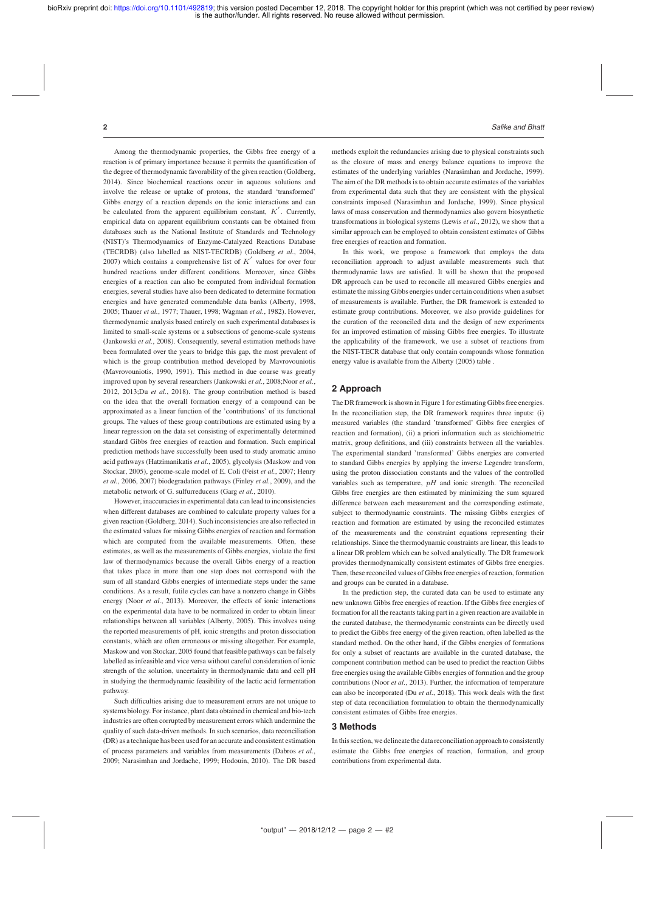Among the thermodynamic properties, the Gibbs free energy of a reaction is of primary importance because it permits the quantification of the degree of thermodynamic favorability of the given reaction (Goldberg, 2014). Since biochemical reactions occur in aqueous solutions and involve the release or uptake of protons, the standard 'transformed' Gibbs energy of a reaction depends on the ionic interactions and can be calculated from the apparent equilibrium constant,  $K'$ . Currently, empirical data on apparent equilibrium constants can be obtained from databases such as the National Institute of Standards and Technology (NIST)'s Thermodynamics of Enzyme-Catalyzed Reactions Database (TECRDB) (also labelled as NIST-TECRDB) (Goldberg *et al.*, 2004, 2007) which contains a comprehensive list of  $K'$  values for over four hundred reactions under different conditions. Moreover, since Gibbs energies of a reaction can also be computed from individual formation energies, several studies have also been dedicated to determine formation energies and have generated commendable data banks (Alberty, 1998, 2005; Thauer *et al.*, 1977; Thauer, 1998; Wagman *et al.*, 1982). However, thermodynamic analysis based entirely on such experimental databases is limited to small-scale systems or a subsections of genome-scale systems (Jankowski *et al.*, 2008). Consequently, several estimation methods have been formulated over the years to bridge this gap, the most prevalent of which is the group contribution method developed by Mavrovouniotis (Mavrovouniotis, 1990, 1991). This method in due course was greatly improved upon by several researchers (Jankowski *et al.*, 2008;Noor *et al.*, 2012, 2013;Du *et al.*, 2018). The group contribution method is based on the idea that the overall formation energy of a compound can be approximated as a linear function of the 'contributions' of its functional groups. The values of these group contributions are estimated using by a linear regression on the data set consisting of experimentally determined standard Gibbs free energies of reaction and formation. Such empirical prediction methods have successfully been used to study aromatic amino acid pathways (Hatzimanikatis *et al.*, 2005), glycolysis (Maskow and von Stockar, 2005), genome-scale model of E. Coli (Feist *et al.*, 2007; Henry *et al.*, 2006, 2007) biodegradation pathways (Finley *et al.*, 2009), and the metabolic network of G. sulfurreducens (Garg *et al.*, 2010).

However, inaccuracies in experimental data can lead to inconsistencies when different databases are combined to calculate property values for a given reaction (Goldberg, 2014). Such inconsistencies are also reflected in the estimated values for missing Gibbs energies of reaction and formation which are computed from the available measurements. Often, these estimates, as well as the measurements of Gibbs energies, violate the first law of thermodynamics because the overall Gibbs energy of a reaction that takes place in more than one step does not correspond with the sum of all standard Gibbs energies of intermediate steps under the same conditions. As a result, futile cycles can have a nonzero change in Gibbs energy (Noor *et al.*, 2013). Moreover, the effects of ionic interactions on the experimental data have to be normalized in order to obtain linear relationships between all variables (Alberty, 2005). This involves using the reported measurements of pH, ionic strengths and proton dissociation constants, which are often erroneous or missing altogether. For example, Maskow and von Stockar, 2005 found that feasible pathways can be falsely labelled as infeasible and vice versa without careful consideration of ionic strength of the solution, uncertainty in thermodynamic data and cell pH in studying the thermodynamic feasibility of the lactic acid fermentation pathway.

Such difficulties arising due to measurement errors are not unique to systems biology. For instance, plant data obtained in chemical and bio-tech industries are often corrupted by measurement errors which undermine the quality of such data-driven methods. In such scenarios, data reconciliation (DR) as a technique has been used for an accurate and consistent estimation of process parameters and variables from measurements (Dabros *et al.*, 2009; Narasimhan and Jordache, 1999; Hodouin, 2010). The DR based

methods exploit the redundancies arising due to physical constraints such as the closure of mass and energy balance equations to improve the estimates of the underlying variables (Narasimhan and Jordache, 1999). The aim of the DR methods is to obtain accurate estimates of the variables from experimental data such that they are consistent with the physical constraints imposed (Narasimhan and Jordache, 1999). Since physical laws of mass conservation and thermodynamics also govern biosynthetic transformations in biological systems (Lewis *et al.*, 2012), we show that a similar approach can be employed to obtain consistent estimates of Gibbs free energies of reaction and formation.

In this work, we propose a framework that employs the data reconciliation approach to adjust available measurements such that thermodynamic laws are satisfied. It will be shown that the proposed DR approach can be used to reconcile all measured Gibbs energies and estimate the missing Gibbs energies under certain conditions when a subset of measurements is available. Further, the DR framework is extended to estimate group contributions. Moreover, we also provide guidelines for the curation of the reconciled data and the design of new experiments for an improved estimation of missing Gibbs free energies. To illustrate the applicability of the framework, we use a subset of reactions from the NIST-TECR database that only contain compounds whose formation energy value is available from the Alberty (2005) table .

# **2 Approach**

The DR framework is shown in Figure 1 for estimating Gibbs free energies. In the reconciliation step, the DR framework requires three inputs: (i) measured variables (the standard 'transformed' Gibbs free energies of reaction and formation), (ii) a priori information such as stoichiometric matrix, group definitions, and (iii) constraints between all the variables. The experimental standard 'transformed' Gibbs energies are converted to standard Gibbs energies by applying the inverse Legendre transform, using the proton dissociation constants and the values of the controlled variables such as temperature,  $pH$  and ionic strength. The reconciled Gibbs free energies are then estimated by minimizing the sum squared difference between each measurement and the corresponding estimate, subject to thermodynamic constraints. The missing Gibbs energies of reaction and formation are estimated by using the reconciled estimates of the measurements and the constraint equations representing their relationships. Since the thermodynamic constraints are linear, this leads to a linear DR problem which can be solved analytically. The DR framework provides thermodynamically consistent estimates of Gibbs free energies. Then, these reconciled values of Gibbs free energies of reaction, formation and groups can be curated in a database.

In the prediction step, the curated data can be used to estimate any new unknown Gibbs free energies of reaction. If the Gibbs free energies of formation for all the reactants taking part in a given reaction are available in the curated database, the thermodynamic constraints can be directly used to predict the Gibbs free energy of the given reaction, often labelled as the standard method. On the other hand, if the Gibbs energies of formations for only a subset of reactants are available in the curated database, the component contribution method can be used to predict the reaction Gibbs free energies using the available Gibbs energies of formation and the group contributions (Noor *et al.*, 2013). Further, the information of temperature can also be incorporated (Du *et al.*, 2018). This work deals with the first step of data reconciliation formulation to obtain the thermodynamically consistent estimates of Gibbs free energies.

# **3 Methods**

In this section, we delineate the data reconciliation approach to consistently estimate the Gibbs free energies of reaction, formation, and group contributions from experimental data.

#### **2** *Salike and Bhatt*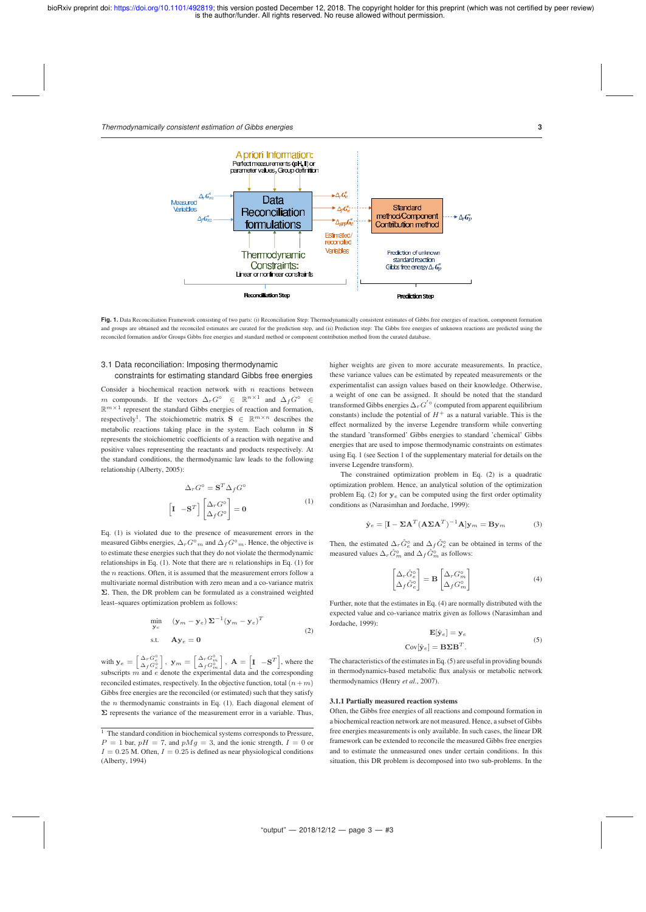*Thermodynamically consistent estimation of Gibbs energies* **3**



Fig. 1. Data Reconciliation Framework consisting of two parts: (i) Reconciliation Step: Thermodynamically consistent estimates of Gibbs free energies of reaction, component formation and groups are obtained and the reconciled estimates are curated for the prediction step, and (ii) Prediction step: The Gibbs free energies of unknown reactions are predicted using the reconciled formation and/or Groups Gibbs free energies and standard method or component contribution method from the curated database.

# 3.1 Data reconciliation: Imposing thermodynamic constraints for estimating standard Gibbs free energies

Consider a biochemical reaction network with  $n$  reactions between m compounds. If the vectors  $\Delta_r G^{\circ} \in \mathbb{R}^{n \times 1}$  and  $\Delta_f G^{\circ} \in$  $\mathbb{R}^{m \times 1}$  represent the standard Gibbs energies of reaction and formation, respectively<sup>1</sup>. The stoichiometric matrix  $S \in \mathbb{R}^{m \times n}$  describes the metabolic reactions taking place in the system. Each column in S represents the stoichiometric coefficients of a reaction with negative and positive values representing the reactants and products respectively. At the standard conditions, the thermodynamic law leads to the following relationship (Alberty, 2005):

$$
\Delta_r G^\circ = \mathbf{S}^T \Delta_f G^\circ
$$

$$
\begin{bmatrix} \mathbf{I} & -\mathbf{S}^T \end{bmatrix} \begin{bmatrix} \Delta_r G^\circ \\ \Delta_f G^\circ \end{bmatrix} = \mathbf{0}
$$
 (1)

Eq. (1) is violated due to the presence of measurement errors in the measured Gibbs energies,  $\Delta_rG^{\rm o}{}_{m}$  and  $\Delta_fG^{\rm o}{}_{m}.$  Hence, the objective is to estimate these energies such that they do not violate the thermodynamic relationships in Eq. (1). Note that there are  $n$  relationships in Eq. (1) for the  $n$  reactions. Often, it is assumed that the measurement errors follow a multivariate normal distribution with zero mean and a co-variance matrix Σ. Then, the DR problem can be formulated as a constrained weighted least–squares optimization problem as follows:

$$
\min_{\mathbf{y}_e} \quad (\mathbf{y}_m - \mathbf{y}_e) \, \mathbf{\Sigma}^{-1} (\mathbf{y}_m - \mathbf{y}_e)^T
$$
\ns.t.

\n
$$
\mathbf{A} \mathbf{y}_e = \mathbf{0} \tag{2}
$$

with  $\mathbf{y}_e = \begin{bmatrix} \Delta_r G_e^{\circ} \\ \Delta_f G_e^{\circ} \end{bmatrix}$ ,  $\mathbf{y}_m = \begin{bmatrix} \Delta_r G_m^{\circ} \\ \Delta_f G_m^{\circ} \end{bmatrix}$ ,  $\mathbf{A} = \begin{bmatrix} \mathbf{I} & -\mathbf{S}^T \end{bmatrix}$ , where the subscripts  $m$  and  $e$  denote the experimental data and the corresponding reconciled estimates, respectively. In the objective function, total  $(n+m)$ Gibbs free energies are the reconciled (or estimated) such that they satisfy the *n* thermodynamic constraints in Eq.  $(1)$ . Each diagonal element of  $\Sigma$  represents the variance of the measurement error in a variable. Thus, higher weights are given to more accurate measurements. In practice, these variance values can be estimated by repeated measurements or the experimentalist can assign values based on their knowledge. Otherwise, a weight of one can be assigned. It should be noted that the standard transformed Gibbs energies  $\Delta_r G^{'\circ}$  (computed from apparent equilibrium constants) include the potential of  $H^+$  as a natural variable. This is the effect normalized by the inverse Legendre transform while converting the standard 'transformed' Gibbs energies to standard 'chemical' Gibbs energies that are used to impose thermodynamic constraints on estimates using Eq. 1 (see Section 1 of the supplementary material for details on the inverse Legendre transform).

The constrained optimization problem in Eq. (2) is a quadratic optimization problem. Hence, an analytical solution of the optimization problem Eq. (2) for  $y_e$  can be computed using the first order optimality conditions as (Narasimhan and Jordache, 1999):

$$
\hat{\mathbf{y}}_e = [\mathbf{I} - \Sigma \mathbf{A}^T (\mathbf{A} \Sigma \mathbf{A}^T)^{-1} \mathbf{A}] \mathbf{y}_m = \mathbf{B} \mathbf{y}_m \tag{3}
$$

Then, the estimated  $\Delta_r \hat{G}^{\circ}_{\epsilon}$  and  $\Delta_f \hat{G}^{\circ}_{\epsilon}$  can be obtained in terms of the measured values  $\Delta_r\hat G^\circ_m$  and  $\Delta_f\hat G^\circ_m$  as follows:

$$
\begin{bmatrix}\n\Delta_r \hat{G}_e^{\circ} \\
\Delta_f \hat{G}_e^{\circ}\n\end{bmatrix} = \mathbf{B} \begin{bmatrix}\n\Delta_r G_m^{\circ} \\
\Delta_f G_m^{\circ}\n\end{bmatrix}
$$
\n(4)

Further, note that the estimates in Eq. (4) are normally distributed with the expected value and co-variance matrix given as follows (Narasimhan and Jordache, 1999):

$$
\mathbf{E}[\hat{\mathbf{y}}_e] = \mathbf{y}_e
$$
  

$$
[\hat{\mathbf{y}}_e] = \mathbf{B} \Sigma \mathbf{B}^T.
$$
 (5)

The characteristics of the estimates in Eq. (5) are useful in providing bounds in thermodynamics-based metabolic flux analysis or metabolic network thermodynamics (Henry *et al.*, 2007).

#### 3.1.1 Partially measured reaction systems

Cov

Often, the Gibbs free energies of all reactions and compound formation in a biochemical reaction network are not measured. Hence, a subset of Gibbs free energies measurements is only available. In such cases, the linear DR framework can be extended to reconcile the measured Gibbs free energies and to estimate the unmeasured ones under certain conditions. In this situation, this DR problem is decomposed into two sub-problems. In the

<sup>&</sup>lt;sup>1</sup> The standard condition in biochemical systems corresponds to Pressure,  $P = 1$  bar,  $pH = 7$ , and  $pMg = 3$ , and the ionic strength,  $I = 0$  or  $I=0.25$  M. Often,  $I=0.25$  is defined as near physiological conditions (Alberty, 1994)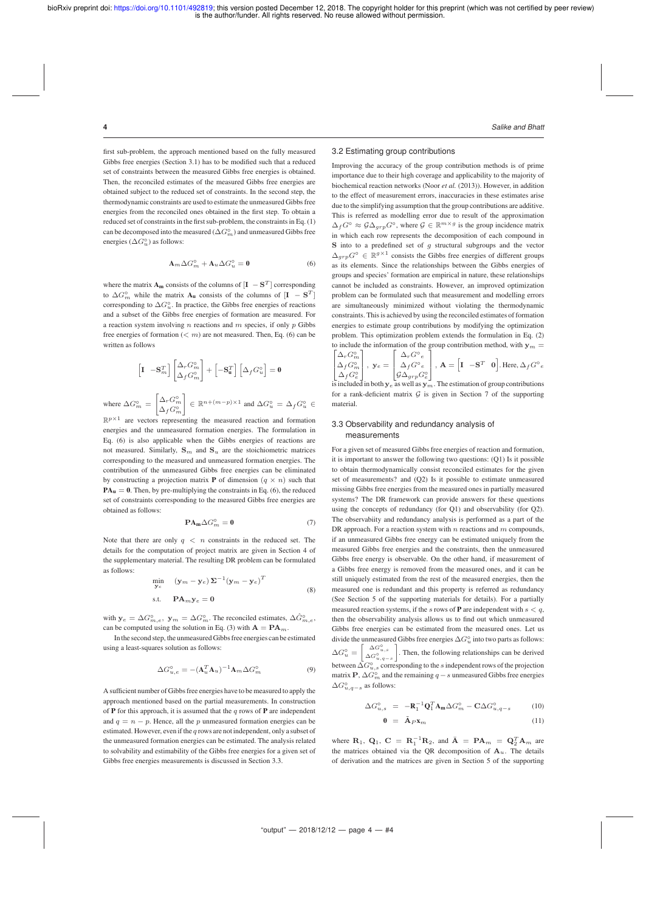wher

first sub-problem, the approach mentioned based on the fully measured Gibbs free energies (Section 3.1) has to be modified such that a reduced set of constraints between the measured Gibbs free energies is obtained. Then, the reconciled estimates of the measured Gibbs free energies are obtained subject to the reduced set of constraints. In the second step, the thermodynamic constraints are used to estimate the unmeasured Gibbs free energies from the reconciled ones obtained in the first step. To obtain a reduced set of constraints in the first sub-problem, the constraints in Eq. (1) can be decomposed into the measured ( $\Delta G<sup>°</sup><sub>m</sub>$ ) and unmeasured Gibbs free energies  $(\Delta G_u^{\circ})$  as follows:

$$
\mathbf{A}_m \Delta G_m^{\circ} + \mathbf{A}_u \Delta G_u^{\circ} = \mathbf{0} \tag{6}
$$

where the matrix  $\mathbf{A}_{\mathbf{m}}$  consists of the columns of  $[\mathbf{I} - \mathbf{S}^T]$  corresponding to  $\Delta G_m^{\circ}$  while the matrix  $\mathbf{A}_u$  consists of the columns of  $[\mathbf{I} - \mathbf{S}^T]$ corresponding to  $\Delta G_u^{\circ}$ . In practice, the Gibbs free energies of reactions and a subset of the Gibbs free energies of formation are measured. For a reaction system involving  $n$  reactions and  $m$  species, if only  $p$  Gibbs free energies of formation  $( $m$ ) are not measured. Then, Eq. (6) can be$ written as follows

$$
\begin{aligned}\n\left[\mathbf{I} \quad -\mathbf{S}_m^T\right] \begin{bmatrix}\n\Delta_r G_m^{\circ} \\
\Delta_f G_m^{\circ}\n\end{bmatrix} + \left[-\mathbf{S}_{\mathbf{u}}^T\right] \begin{bmatrix}\n\Delta_f G_u^{\circ}\n\end{bmatrix} = \mathbf{0} \\
\mathbf{B} \quad \Delta G_m^{\circ} = \begin{bmatrix}\n\Delta_r G_m^{\circ} \\
\Delta_r G_m^{\circ}\n\end{bmatrix} \in \mathbb{R}^{n + (m - p) \times 1} \text{ and } \Delta G_u^{\circ} = \Delta_f G_u^{\circ} \in \mathbb{R}^{n + (m - p) \times 1}.\n\end{aligned}
$$

 $\left| \Delta_f G_m^{\circ} \right|$  $\mathbb{R}^{p \times 1}$  are vectors representing the measured reaction and formation energies and the unmeasured formation energies. The formulation in Eq. (6) is also applicable when the Gibbs energies of reactions are not measured. Similarly,  $S_m$  and  $S_u$  are the stoichiometric matrices corresponding to the measured and unmeasured formation energies. The contribution of the unmeasured Gibbs free energies can be eliminated by constructing a projection matrix **P** of dimension  $(q \times n)$  such that  $PA<sub>u</sub> = 0$ . Then, by pre-multiplying the constraints in Eq. (6), the reduced set of constraints corresponding to the measured Gibbs free energies are obtained as follows:

$$
\mathbf{P}\mathbf{A}_{\mathbf{m}}\Delta G_{m}^{\circ}=\mathbf{0}\tag{7}
$$

Note that there are only  $q \, < \, n$  constraints in the reduced set. The details for the computation of project matrix are given in Section 4 of the supplementary material. The resulting DR problem can be formulated as follows:

$$
\min_{\mathbf{y}_e} \quad (\mathbf{y}_m - \mathbf{y}_e) \, \mathbf{\Sigma}^{-1} (\mathbf{y}_m - \mathbf{y}_e)^T
$$
\n
$$
\text{s.t.} \quad \mathbf{PA}_m \mathbf{y}_e = \mathbf{0} \tag{8}
$$

with  $y_e = \Delta G_{m,e}^{\circ}$ ,  $y_m = \Delta G_m^{\circ}$ . The reconciled estimates,  $\Delta \hat{G}_{m,e}^{\circ}$ , can be computed using the solution in Eq. (3) with  $A = PA<sub>m</sub>$ .

In the second step, the unmeasured Gibbs free energies can be estimated using a least-squares solution as follows:

$$
\Delta G_{u,e}^{\circ} = -(\mathbf{A}_u^T \mathbf{A}_u)^{-1} \mathbf{A}_m \Delta G_m^{\circ}
$$
\n(9)

A sufficient number of Gibbs free energies have to be measured to apply the approach mentioned based on the partial measurements. In construction of **P** for this approach, it is assumed that the q rows of **P** are independent and  $q = n - p$ . Hence, all the p unmeasured formation energies can be estimated. However, even if the  $q$  rows are not independent, only a subset of the unmeasured formation energies can be estimated. The analysis related to solvability and estimability of the Gibbs free energies for a given set of Gibbs free energies measurements is discussed in Section 3.3.

#### **4** *Salike and Bhatt*

# 3.2 Estimating group contributions

Improving the accuracy of the group contribution methods is of prime importance due to their high coverage and applicability to the majority of biochemical reaction networks (Noor *et al.* (2013)). However, in addition to the effect of measurement errors, inaccuracies in these estimates arise due to the simplifying assumption that the group contributions are additive. This is referred as modelling error due to result of the approximation  $\Delta_f G^{\circ} \approx \mathcal{G} \Delta_{grp} G^{\circ}$ , where  $\mathcal{G} \in \mathbb{R}^{m \times g}$  is the group incidence matrix in which each row represents the decomposition of each compound in  $S$  into to a predefined set of  $g$  structural subgroups and the vector  $\Delta_{grp}G^{\circ} \in \mathbb{R}^{g \times 1}$  consists the Gibbs free energies of different groups as its elements. Since the relationships between the Gibbs energies of groups and species' formation are empirical in nature, these relationships cannot be included as constraints. However, an improved optimization problem can be formulated such that measurement and modelling errors are simultaneously minimized without violating the thermodynamic constraints. This is achieved by using the reconciled estimates of formation energies to estimate group contributions by modifying the optimization problem. This optimization problem extends the formulation in Eq. (2) to include the information of the group contribution method, with  $y_m =$ 

$$
\begin{bmatrix}\n\Delta_r G_m^{\circ} \\
\Delta_f G_m^{\circ} \\
\Delta_f G_e^{\circ}\n\end{bmatrix}, \mathbf{y}_e = \begin{bmatrix}\n\Delta_r G^{\circ} e \\
\Delta_f G^{\circ} e \\
\beta \Delta_{grp} G_e^{\circ}\n\end{bmatrix}, \mathbf{A} = \begin{bmatrix}\n\mathbf{I} & -\mathbf{S}^T & \mathbf{0}\n\end{bmatrix}.
$$
 Here,  $\Delta_f G^{\circ} e$ 

is included in both  $y_e$  as well as  $y_m$ . The estimation of group contributions for a rank-deficient matrix  $G$  is given in Section 7 of the supporting material.

#### 3.3 Observability and redundancy analysis of measurements

For a given set of measured Gibbs free energies of reaction and formation, it is important to answer the following two questions: (Q1) Is it possible to obtain thermodynamically consist reconciled estimates for the given set of measurements? and (Q2) Is it possible to estimate unmeasured missing Gibbs free energies from the measured ones in partially measured systems? The DR framework can provide answers for these questions using the concepts of redundancy (for Q1) and observability (for Q2). The observabiity and redundancy analysis is performed as a part of the DR approach. For a reaction system with n reactions and  $m$  compounds, if an unmeasured Gibbs free energy can be estimated uniquely from the measured Gibbs free energies and the constraints, then the unmeasured Gibbs free energy is observable. On the other hand, if measurement of a Gibbs free energy is removed from the measured ones, and it can be still uniquely estimated from the rest of the measured energies, then the measured one is redundant and this property is referred as redundancy (See Section 5 of the supporting materials for details). For a partially measured reaction systems, if the s rows of **P** are independent with  $s < q$ , then the observability analysis allows us to find out which unmeasured Gibbs free energies can be estimated from the measured ones. Let us divide the unmeasured Gibbs free energies  $\Delta G_u^{\circ}$  into two parts as follows:  $\Delta G_u^{\circ} =$ I  $\Delta G_{u,s}^{\circ}$  $\Delta G_{u,q-s}^{\circ}$  . Then, the following relationships can be derived between  $\Delta G_{u,s}^{\circ}$  corresponding to the s independent rows of the projection matrix P,  $\Delta G<sub>m</sub>$  and the remaining  $q - s$  unmeasured Gibbs free energies  $\Delta G_{u,q-s}^{\circ}$  as follows:

$$
\Delta G_{u,s}^{\circ} = -\mathbf{R}_1^{-1} \mathbf{Q}_1^T \mathbf{A}_m \Delta G_m^{\circ} - \mathbf{C} \Delta G_{u,q-s}^{\circ}
$$
 (10)  

$$
\mathbf{0} = \tilde{\mathbf{A}}_P \mathbf{x}_m
$$
 (11)

where  $\mathbf{R}_1$ ,  $\mathbf{Q}_1$ ,  $\mathbf{C} = \mathbf{R}_1^{-1} \mathbf{R}_2$ , and  $\overline{\mathbf{A}} = \mathbf{P} \mathbf{A}_m = \mathbf{Q}_2^T \mathbf{A}_m$  are the matrices obtained via the QR decomposition of  $A_u$ . The details of derivation and the matrices are given in Section 5 of the supporting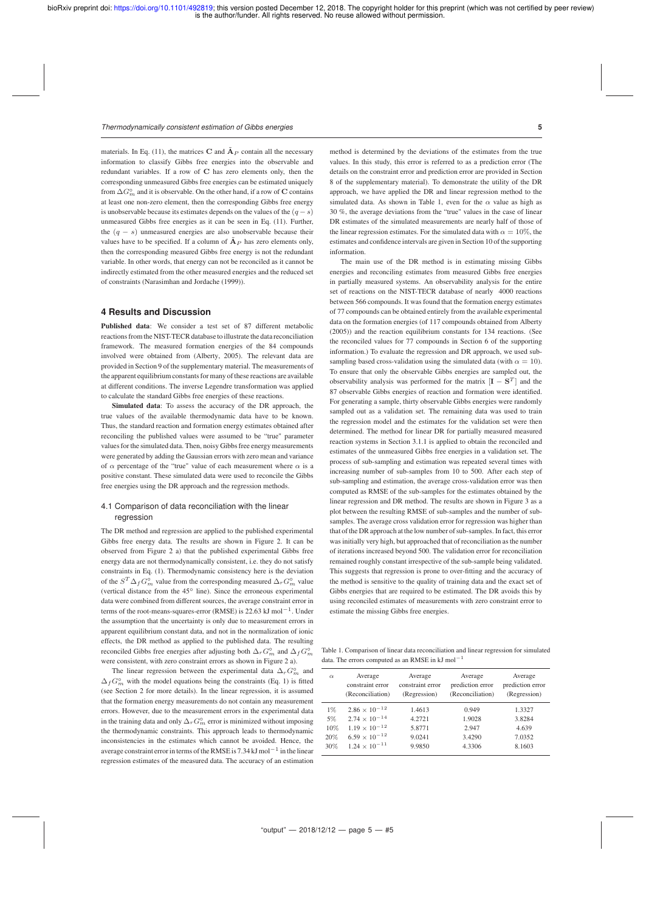#### *Thermodynamically consistent estimation of Gibbs energies* **5**

materials. In Eq. (11), the matrices C and  $\tilde{A}_P$  contain all the necessary information to classify Gibbs free energies into the observable and redundant variables. If a row of C has zero elements only, then the corresponding unmeasured Gibbs free energies can be estimated uniquely from  $\Delta G<sub>m</sub>$  and it is observable. On the other hand, if a row of C contains at least one non-zero element, then the corresponding Gibbs free energy is unobservable because its estimates depends on the values of the  $(q - s)$ unmeasured Gibbs free energies as it can be seen in Eq. (11). Further, the  $(q - s)$  unmeasured energies are also unobservable because their values have to be specified. If a column of  $\tilde{A}_P$  has zero elements only, then the corresponding measured Gibbs free energy is not the redundant variable. In other words, that energy can not be reconciled as it cannot be indirectly estimated from the other measured energies and the reduced set of constraints (Narasimhan and Jordache (1999)).

## **4 Results and Discussion**

Published data: We consider a test set of 87 different metabolic reactions from the NIST-TECR database to illustrate the data reconciliation framework. The measured formation energies of the 84 compounds involved were obtained from (Alberty, 2005). The relevant data are provided in Section 9 of the supplementary material. The measurements of the apparent equilibrium constants for many of these reactions are available at different conditions. The inverse Legendre transformation was applied to calculate the standard Gibbs free energies of these reactions.

Simulated data: To assess the accuracy of the DR approach, the true values of the available thermodynamic data have to be known. Thus, the standard reaction and formation energy estimates obtained after reconciling the published values were assumed to be "true" parameter values for the simulated data. Then, noisy Gibbs free energy measurements were generated by adding the Gaussian errors with zero mean and variance of  $\alpha$  percentage of the "true" value of each measurement where  $\alpha$  is a positive constant. These simulated data were used to reconcile the Gibbs free energies using the DR approach and the regression methods.

# 4.1 Comparison of data reconciliation with the linear regression

The DR method and regression are applied to the published experimental Gibbs free energy data. The results are shown in Figure 2. It can be observed from Figure 2 a) that the published experimental Gibbs free energy data are not thermodynamically consistent, i.e. they do not satisfy constraints in Eq. (1). Thermodynamic consistency here is the deviation of the  $S^T \Delta_f G_m^{\circ}$  value from the corresponding measured  $\Delta_r G_m^{\circ}$  value (vertical distance from the 45◦ line). Since the erroneous experimental data were combined from different sources, the average constraint error in terms of the root-means-squares-error (RMSE) is 22.63 kJ mol<sup>-1</sup>. Under the assumption that the uncertainty is only due to measurement errors in apparent equilibrium constant data, and not in the normalization of ionic effects, the DR method as applied to the published data. The resulting reconciled Gibbs free energies after adjusting both  $\Delta_r G^{\circ}_m$  and  $\Delta_f G^{\circ}_m$ were consistent, with zero constraint errors as shown in Figure 2 a).

The linear regression between the experimental data  $\Delta_r G^{\circ}_m$  and  $\Delta_f G^{\circ}_{m}$  with the model equations being the constraints (Eq. 1) is fitted (see Section 2 for more details). In the linear regression, it is assumed that the formation energy measurements do not contain any measurement errors. However, due to the measurement errors in the experimental data in the training data and only  $\Delta_r G^{\circ}_{\text{m}}$  error is minimized without imposing the thermodynamic constraints. This approach leads to thermodynamic inconsistencies in the estimates which cannot be avoided. Hence, the average constraint error in terms of the RMSE is 7.34 kJ mol $^{-1}$  in the linear regression estimates of the measured data. The accuracy of an estimation

method is determined by the deviations of the estimates from the true values. In this study, this error is referred to as a prediction error (The details on the constraint error and prediction error are provided in Section 8 of the supplementary material). To demonstrate the utility of the DR approach, we have applied the DR and linear regression method to the simulated data. As shown in Table 1, even for the  $\alpha$  value as high as 30 %, the average deviations from the "true" values in the case of linear DR estimates of the simulated measurements are nearly half of those of the linear regression estimates. For the simulated data with  $\alpha = 10\%$ , the estimates and confidence intervals are given in Section 10 of the supporting information.

The main use of the DR method is in estimating missing Gibbs energies and reconciling estimates from measured Gibbs free energies in partially measured systems. An observability analysis for the entire set of reactions on the NIST-TECR database of nearly 4000 reactions between 566 compounds. It was found that the formation energy estimates of 77 compounds can be obtained entirely from the available experimental data on the formation energies (of 117 compounds obtained from Alberty (2005)) and the reaction equilibrium constants for 134 reactions. (See the reconciled values for 77 compounds in Section 6 of the supporting information.) To evaluate the regression and DR approach, we used subsampling based cross-validation using the simulated data (with  $\alpha = 10$ ). To ensure that only the observable Gibbs energies are sampled out, the observability analysis was performed for the matrix  $[{\bf I} - {\bf S}^T]$  and the 87 observable Gibbs energies of reaction and formation were identified. For generating a sample, thirty observable Gibbs energies were randomly sampled out as a validation set. The remaining data was used to train the regression model and the estimates for the validation set were then determined. The method for linear DR for partially measured measured reaction systems in Section 3.1.1 is applied to obtain the reconciled and estimates of the unmeasured Gibbs free energies in a validation set. The process of sub-sampling and estimation was repeated several times with increasing number of sub-samples from 10 to 500. After each step of sub-sampling and estimation, the average cross-validation error was then computed as RMSE of the sub-samples for the estimates obtained by the linear regression and DR method. The results are shown in Figure 3 as a plot between the resulting RMSE of sub-samples and the number of subsamples. The average cross validation error for regression was higher than that of the DR approach at the low number of sub-samples. In fact, this error was initially very high, but approached that of reconciliation as the number of iterations increased beyond 500. The validation error for reconciliation remained roughly constant irrespective of the sub-sample being validated. This suggests that regression is prone to over-fitting and the accuracy of the method is sensitive to the quality of training data and the exact set of Gibbs energies that are required to be estimated. The DR avoids this by using reconciled estimates of measurements with zero constraint error to estimate the missing Gibbs free energies.

Table 1. Comparison of linear data reconciliation and linear regression for simulated data. The errors computed as an RMSE in kJ mol<sup>-1</sup>

| $\alpha$ | Average<br>constraint error<br>(Reconciliation) | Average<br>constraint error<br>(Regression) | Average<br>prediction error<br>(Reconciliation) | Average<br>prediction error<br>(Regression) |
|----------|-------------------------------------------------|---------------------------------------------|-------------------------------------------------|---------------------------------------------|
| $1\%$    | $2.86 \times 10^{-12}$                          | 1.4613                                      | 0.949                                           | 1.3327                                      |
| 5%       | $2.74 \times 10^{-14}$                          | 4.2721                                      | 1.9028                                          | 3.8284                                      |
| 10%      | $1.19 \times 10^{-12}$                          | 5.8771                                      | 2.947                                           | 4.639                                       |
| 20%      | $6.59 \times 10^{-12}$                          | 9.0241                                      | 3.4290                                          | 7.0352                                      |
| 30%      | $1.24 \times 10^{-11}$                          | 9.9850                                      | 4.3306                                          | 8.1603                                      |
|          |                                                 |                                             |                                                 |                                             |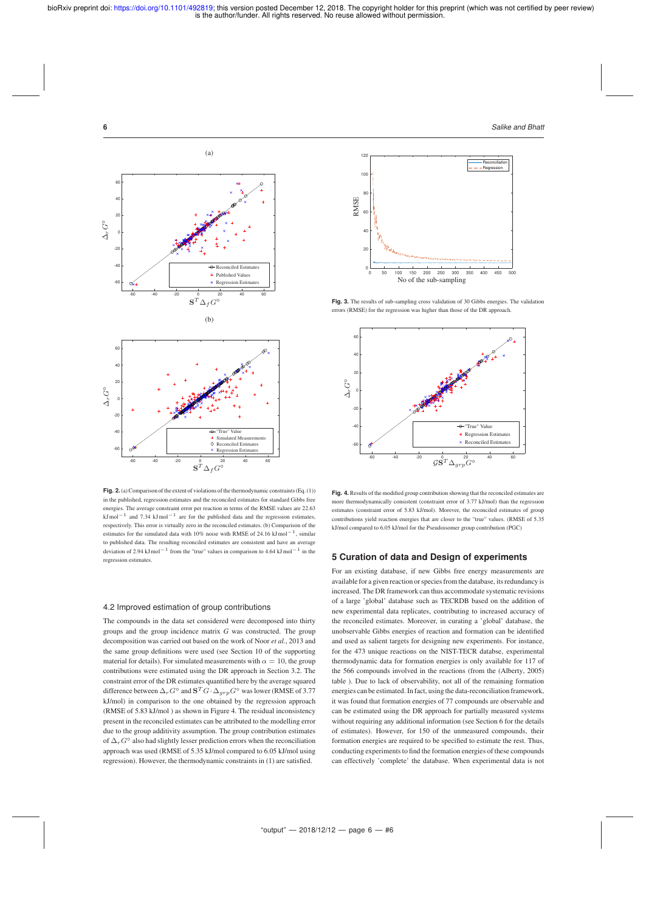**6** *Salike and Bhatt*



**Fig. 2.**(a) Comparison of the extent of violations of the thermodynamic constraints (Eq. (1)) in the published, regression estimates and the reconciled estimates for standard Gibbs free energies. The average constraint error per reaction in terms of the RMSE values are 22.63  $kJ$ mol<sup>-1</sup> and 7.34 kJmol<sup>-1</sup> are for the published data and the regression estimates, respectively. This error is virtually zero in the reconciled estimates. (b) Comparison of the estimates for the simulated data with 10% noise with RMSE of 24.16 kJmol−1, similar to published data. The resulting reconciled estimates are consistent and have an average deviation of 2.94 kJ mol<sup>−1</sup> from the "true" values in comparison to 4.64 kJ mol<sup>−1</sup> in the regression estimates.

# 4.2 Improved estimation of group contributions

The compounds in the data set considered were decomposed into thirty groups and the group incidence matrix *G* was constructed. The group decomposition was carried out based on the work of Noor *et al.*, 2013 and the same group definitions were used (see Section 10 of the supporting material for details). For simulated measurements with  $\alpha = 10$ , the group contributions were estimated using the DR approach in Section 3.2. The constraint error of the DR estimates quantified here by the average squared difference between  $\Delta_r G^{\circ}$  and  ${\bf S}^T G \cdot \Delta_{grp} G^{\circ}$  was lower (RMSE of 3.77) kJ/mol) in comparison to the one obtained by the regression approach (RMSE of 5.83 kJ/mol ) as shown in Figure 4. The residual inconsistency present in the reconciled estimates can be attributed to the modelling error due to the group additivity assumption. The group contribution estimates of  $\Delta_rG^{\circ}$  also had slightly lesser prediction errors when the reconciliation approach was used (RMSE of 5.35 kJ/mol compared to 6.05 kJ/mol using regression). However, the thermodynamic constraints in (1) are satisfied.



Fig. 3. The results of sub-sampling cross validation of 30 Gibbs energies. The validation errors (RMSE) for the regression was higher than those of the DR approach.



**Fig. 4.** Results of the modified group contribution showing that the reconciled estimates are more thermodynamically consistent (constraint error of 3.77 kJ/mol) than the regression estimates (constraint error of 5.83 kJ/mol). Morever, the reconciled estimates of group contributions yield reaction energies that are closer to the "true" values. (RMSE of 5.35 kJ/mol compared to 6.05 kJ/mol for the Pseudoisomer group contribution (PGC)

# **5 Curation of data and Design of experiments**

For an existing database, if new Gibbs free energy measurements are available for a given reaction or species from the database, its redundancy is increased. The DR framework can thus accommodate systematic revisions of a large 'global' database such as TECRDB based on the addition of new experimental data replicates, contributing to increased accuracy of the reconciled estimates. Moreover, in curating a 'global' database, the unobservable Gibbs energies of reaction and formation can be identified and used as salient targets for designing new experiments. For instance, for the 473 unique reactions on the NIST-TECR databse, experimental thermodynamic data for formation energies is only available for 117 of the 566 compounds involved in the reactions (from the (Alberty, 2005) table ). Due to lack of observability, not all of the remaining formation energies can be estimated. In fact, using the data-reconciliation framework, it was found that formation energies of 77 compounds are observable and can be estimated using the DR approach for partially measured systems without requiring any additional information (see Section 6 for the details of estimates). However, for 150 of the unmeasured compounds, their formation energies are required to be specified to estimate the rest. Thus, conducting experiments to find the formation energies of these compounds can effectively 'complete' the database. When experimental data is not